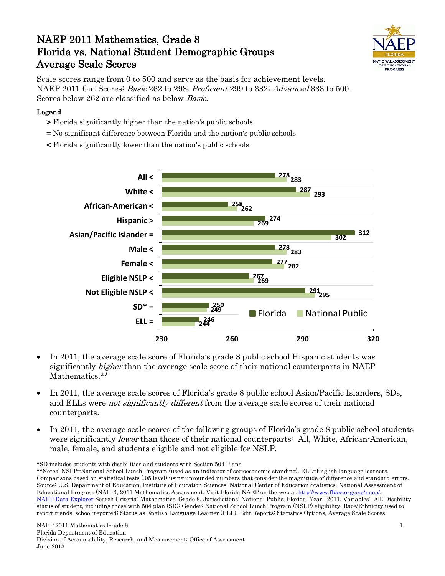# NAEP 2011 Mathematics, Grade 8 Florida vs. National Student Demographic Groups Average Scale Scores



Scale scores range from 0 to 500 and serve as the basis for achievement levels. NAEP 2011 Cut Scores: Basic 262 to 298; Proficient 299 to 332; Advanced 333 to 500. Scores below 262 are classified as below Basic.

### Legend

- > Florida significantly higher than the nation's public schools
- = No significant difference between Florida and the nation's public schools
- < Florida significantly lower than the nation's public schools



- In 2011, the average scale score of Florida's grade 8 public school Hispanic students was significantly higher than the average scale score of their national counterparts in NAEP Mathematics.\*\*
- In 2011, the average scale scores of Florida's grade 8 public school Asian/Pacific Islanders, SDs, and ELLs were *not significantly different* from the average scale scores of their national counterparts.
- In 2011, the average scale scores of the following groups of Florida's grade 8 public school students were significantly *lower* than those of their national counterparts: All, White, African-American, male, female, and students eligible and not eligible for NSLP.

\*SD includes students with disabilities and students with Section 504 Plans.

<sup>\*\*</sup>Notes: NSLP=National School Lunch Program (used as an indicator of socioeconomic standing). ELL=English language learners. Comparisons based on statistical tests (.05 level) using unrounded numbers that consider the magnitude of difference and standard errors. Source: U.S. Department of Education, Institute of Education Sciences, National Center of Education Statistics, National Assessment of Educational Progress (NAEP), 2011 Mathematics Assessment. Visit Florida NAEP on the web a[t http://www.fldoe.org/asp/naep/.](http://www.fldoe.org/asp/naep/) [NAEP Data Explorer](http://nces.ed.gov/nationsreportcard/naepdata/) Search Criteria: Mathematics, Grade 8. Jurisdictions: National Public, Florida. Year: 2011. Variables: All; Disability status of student, including those with 504 plan (SD); Gender; National School Lunch Program (NSLP) eligibility; Race/Ethnicity used to report trends, school-reported; Status as English Language Learner (ELL). Edit Reports: Statistics Options, Average Scale Scores.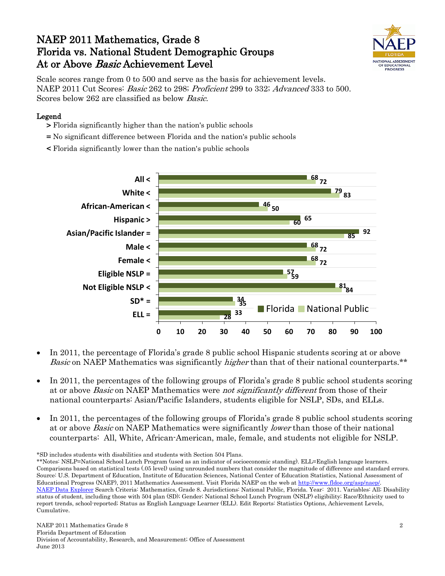## NAEP 2011 Mathematics, Grade 8 Florida vs. National Student Demographic Groups At or Above *Basic* Achievement Level



Scale scores range from 0 to 500 and serve as the basis for achievement levels. NAEP 2011 Cut Scores: Basic 262 to 298; Proficient 299 to 332; Advanced 333 to 500. Scores below 262 are classified as below Basic.

### Legend

- > Florida significantly higher than the nation's public schools
- = No significant difference between Florida and the nation's public schools
- < Florida significantly lower than the nation's public schools



- In 2011, the percentage of Florida's grade 8 public school Hispanic students scoring at or above *Basic* on NAEP Mathematics was significantly *higher* than that of their national counterparts.\*\*
- In 2011, the percentages of the following groups of Florida's grade 8 public school students scoring at or above *Basic* on NAEP Mathematics were *not significantly different* from those of their national counterparts: Asian/Pacific Islanders, students eligible for NSLP, SDs, and ELLs.
- In 2011, the percentages of the following groups of Florida's grade 8 public school students scoring at or above Basic on NAEP Mathematics were significantly lower than those of their national counterparts: All, White, African-American, male, female, and students not eligible for NSLP.

\*SD includes students with disabilities and students with Section 504 Plans.

\*\*Notes: NSLP=National School Lunch Program (used as an indicator of socioeconomic standing). ELL=English language learners. Comparisons based on statistical tests (.05 level) using unrounded numbers that consider the magnitude of difference and standard errors. Source: U.S. Department of Education, Institute of Education Sciences, National Center of Education Statistics, National Assessment of Educational Progress (NAEP), 2011 Mathematics Assessment. Visit Florida NAEP on the web a[t http://www.fldoe.org/asp/naep/.](http://www.fldoe.org/asp/naep/) [NAEP Data Explorer](http://nces.ed.gov/nationsreportcard/naepdata/) Search Criteria: Mathematics, Grade 8. Jurisdictions: National Public, Florida. Year: 2011. Variables: All; Disability status of student, including those with 504 plan (SD); Gender; National School Lunch Program (NSLP) eligibility; Race/Ethnicity used to report trends, school-reported; Status as English Language Learner (ELL). Edit Reports: Statistics Options, Achievement Levels, Cumulative.